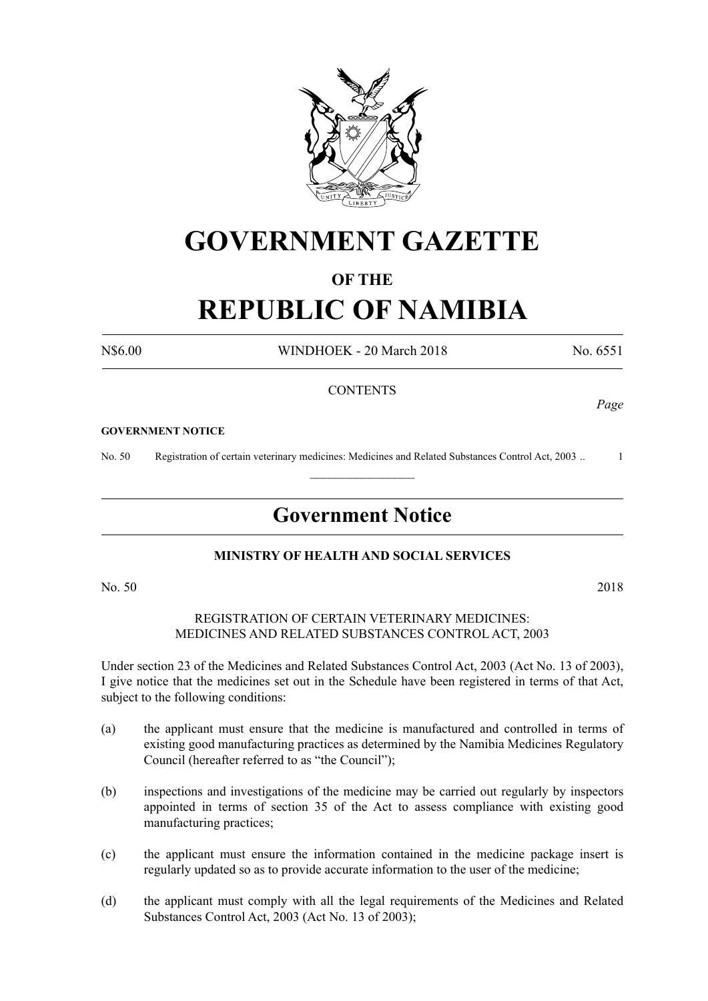

# **GOVERNMENT GAZETTE**

## **OF THE**

# **REPUBLIC OF NAMIBIA**

N\$6.00 WINDHOEK - 20 March 2018 No. 6551

*Page*

### **CONTENTS**

#### **GOVERNMENT NOTICE**

No. 50 Registration of certain veterinary medicines: Medicines and Related Substances Control Act, 2003 .. 1

# **Government Notice**

 $\frac{1}{2}$ 

### **MINISTRY OF HEALTH AND SOCIAL SERVICES**

No. 50 2018

#### REGISTRATION OF CERTAIN VETERINARY MEDICINES: MEDICINES AND RELATED SUBSTANCES CONTROL ACT, 2003

Under section 23 of the Medicines and Related Substances Control Act, 2003 (Act No. 13 of 2003), I give notice that the medicines set out in the Schedule have been registered in terms of that Act, subject to the following conditions:

- (a) the applicant must ensure that the medicine is manufactured and controlled in terms of existing good manufacturing practices as determined by the Namibia Medicines Regulatory Council (hereafter referred to as "the Council");
- (b) inspections and investigations of the medicine may be carried out regularly by inspectors appointed in terms of section 35 of the Act to assess compliance with existing good manufacturing practices;
- (c) the applicant must ensure the information contained in the medicine package insert is regularly updated so as to provide accurate information to the user of the medicine;
- (d) the applicant must comply with all the legal requirements of the Medicines and Related Substances Control Act, 2003 (Act No. 13 of 2003);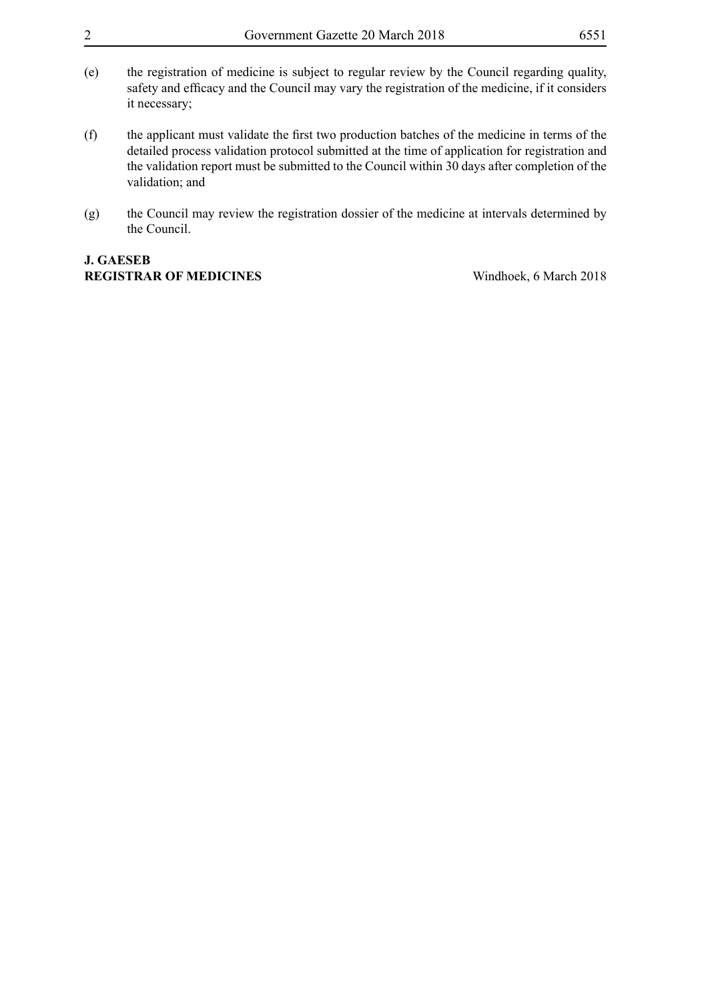- (e) the registration of medicine is subject to regular review by the Council regarding quality, safety and efficacy and the Council may vary the registration of the medicine, if it considers it necessary;
- (f) the applicant must validate the first two production batches of the medicine in terms of the detailed process validation protocol submitted at the time of application for registration and the validation report must be submitted to the Council within 30 days after completion of the validation; and
- (g) the Council may review the registration dossier of the medicine at intervals determined by the Council.

# **J. GAESEB REGISTRAR OF MEDICINES** Windhoek, 6 March 2018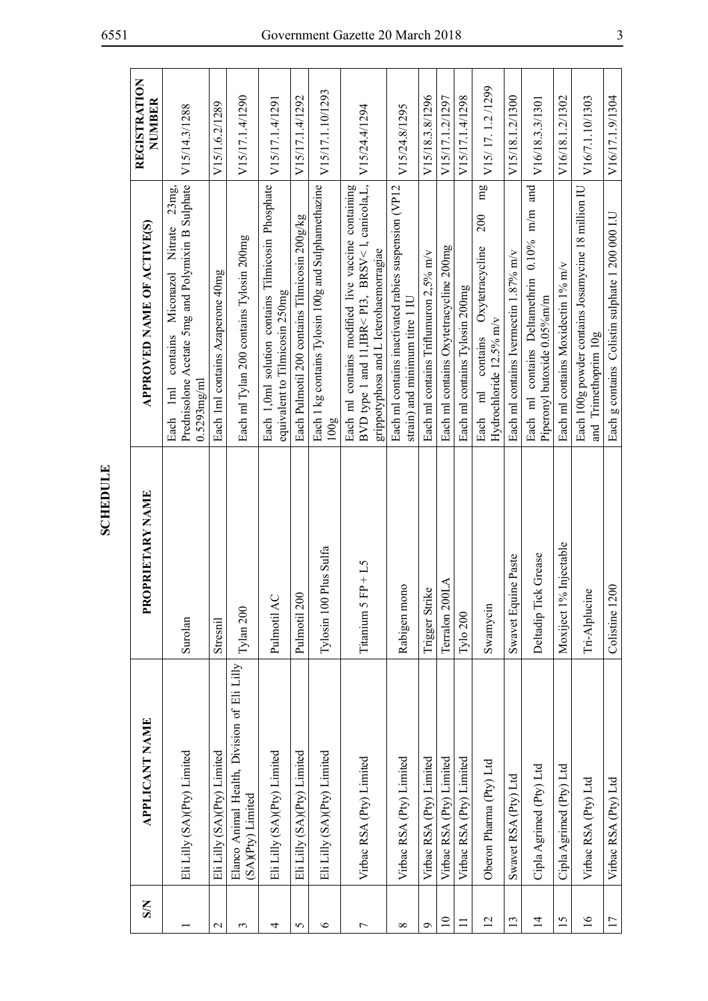| $\mathbf{S}$    | APPLICANT NAME                                                   | PRIETARY NAME<br>PR <sub>O</sub> | APPROVED NAME OF ACTIVE(S)                                                                                                                        | REGISTRATION<br>NUMBER |
|-----------------|------------------------------------------------------------------|----------------------------------|---------------------------------------------------------------------------------------------------------------------------------------------------|------------------------|
|                 | Eli Lilly (SA)(Pty) Limited                                      | Surolan                          | Prednisolone Acetate 5mg and Polymixin B Sulphate<br>23mg<br>contains Miconazol Nitrate<br>0.5293mg/ml<br>Each 1ml                                | V15/14.3/1288          |
| $\mathbf{\sim}$ | Eli Lilly (SA)(Pty) Limited                                      | Stresnil                         | Each 1ml contains Azaperone 40mg                                                                                                                  | V15/1.6.2/1289         |
| 3               | Elanco Animal Health, Division of Eli Lilly<br>(SA)(Pty) Limited | Tylan 200                        | Each ml Tylan 200 contains Tylosin 200mg                                                                                                          | V15/17.1.4/1290        |
| 4               | Eli Lilly (SA)(Pty) Limited                                      | Pulmotil AC                      | Each 1,0ml solution contains Tilmicosin Phosphate<br>equivalent to Tilmicosin 250mg                                                               | V15/17.1.4/1291        |
| 5               | Eli Lilly (SA)(Pty) Limited                                      | Pulmotil 200                     | Each Pulmotil 200 contains Tilmicosin 200g/kg                                                                                                     | V15/17.1.4/1292        |
| $\bullet$       | Eli Lilly (SA)(Pty) Limited                                      | Tylosin 100 Plus Sulfa           | Each 1 kg contains Tylosin 100g and Sulphamethazine<br>100g                                                                                       | V15/17.1.10/1293       |
| 7               | Virbac RSA (Pty) Limited                                         | Titanium $5$ FP + L5             | BVD type 1 and 11, IBR< PI3, BRSV< l, canicola, L,<br>Each ml contains modified live vaccine containing<br>grippotyphosa and L Icterohaemorragiae | V15/24.4/1294          |
| $\infty$        | Virbac RSA (Pty) Limited                                         | Rabigen mono                     | Each ml contains inactivated rabies suspension (VP12<br>strain) and minimum titre 1 IU                                                            | V15/24.8/1295          |
| ç               | Virbac RSA (Pty) Limited                                         | Trigger Strike                   | Each ml contains Triflumuron 2,5% m/v                                                                                                             | V15/18.3.8/1296        |
| $\overline{10}$ | Virbac RSA (Pty) Limited                                         | Terralon 200LA                   | Each ml contains Oxytetracycline 200mg                                                                                                            | V15/17.1.2/1297        |
| $\equiv$        | Virbac RSA (Pty) Limited                                         | $Ty$ lo 200                      | Each ml contains Tylosin 200mg                                                                                                                    | V15/17.1.4/1298        |
| $\overline{2}$  | Oberon Pharma (Pty) Ltd                                          | Swamycin                         | mg<br>200<br>Oxytetracycline<br>Hydrochloride 12.5% m/v<br>contains<br>$\overline{a}$<br>Each                                                     | V15/17.1.2/1299        |
| 13              | Swavet RSA (Pty) Ltd                                             | e Paste<br>Swavet Equin          | Each ml contains Ivermectin 1.87% m/v                                                                                                             | V15/18.1.2/1300        |
| $\overline{4}$  | Cipla Agrimed (Pty) Ltd                                          | Grease<br>Deltadip Tick          | and<br>Each ml contains Deltamethrin 0.10% m/m<br>Piperonyl butoxide 0.05%m/m                                                                     | V16/18.3.3/1301        |
| 15              | Cipla Agrimed (Pty) Ltd                                          | Injectable<br>Moxiject 1%        | Each ml contains Moxidectin 1% m/v                                                                                                                | V16/18.1.2/1302        |
| $\frac{6}{2}$   | Virbac RSA (Pty) Ltd                                             | Tri-Alplucine                    | Each 100g powder contains Josamycine 18 million IU<br>and Trimethoprim 10g                                                                        | V16/7.1.10/1303        |
| $\overline{17}$ | Virbac RSA (Pty) Ltd                                             | Colistine 1200                   | Each g contains Colistin sulphate 1 200 000 I.U                                                                                                   | V16/17.1.9/1304        |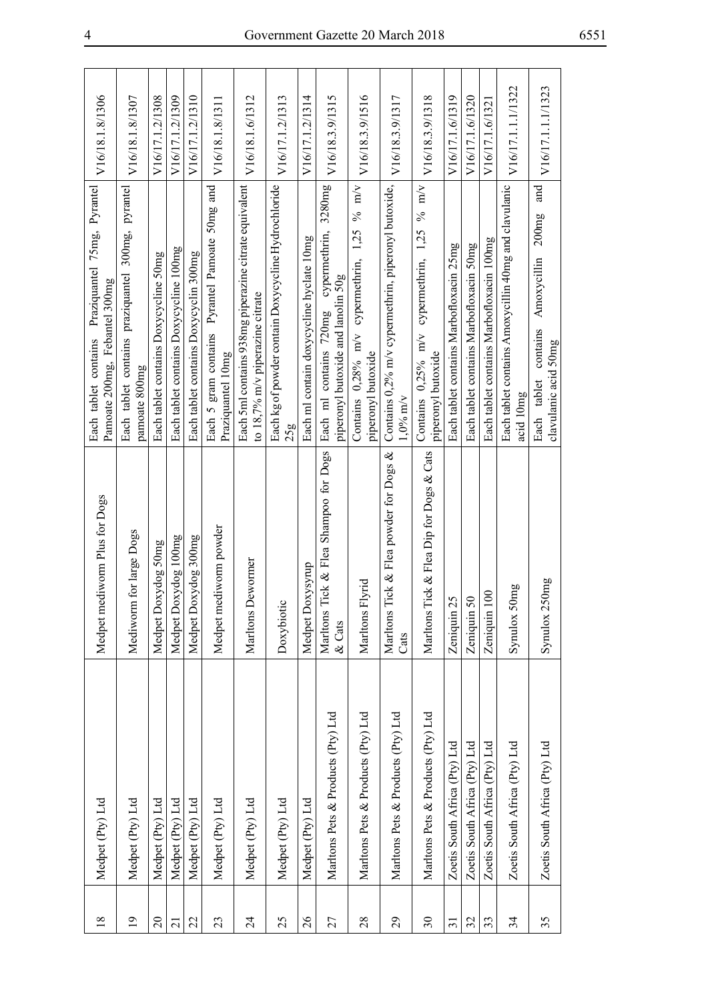| V16/18.1.8/1306                                                                      | V16/18.1.8/1307                                                    | V16/17.1.2/1308                       | V16/17.1.2/1309                        | V16/17.1.2/1310                       | V16/18.1.8/1311                                                     | V16/18.1.6/1312                                                                          | V16/17.1.2/1313                                            | V16/17.1.2/1314                          | V16/18.3.9/1315                                                                   | V16/18.3.9/1516                                                         | V16/18.3.9/1317                                                    | V16/18.3.9/1318                                                   | V16/17.1.6/1319                         | V16/17.1.6/1320                         | V16/17.1.6/1321                          | V16/17.1.1.1/1322                                                 | V16/17.1.1.1/1323                                                           |
|--------------------------------------------------------------------------------------|--------------------------------------------------------------------|---------------------------------------|----------------------------------------|---------------------------------------|---------------------------------------------------------------------|------------------------------------------------------------------------------------------|------------------------------------------------------------|------------------------------------------|-----------------------------------------------------------------------------------|-------------------------------------------------------------------------|--------------------------------------------------------------------|-------------------------------------------------------------------|-----------------------------------------|-----------------------------------------|------------------------------------------|-------------------------------------------------------------------|-----------------------------------------------------------------------------|
| Praziquantel 75mg, Pyrantel<br>Pamoate 200mg, Febantel 300mg<br>Each tablet contains | Each tablet contains praziquantel 300mg, pyrantel<br>pamoate 800mg | Each tablet contains Doxycycline 50mg | Each tablet contains Doxycycline 100mg | Each tablet contains Doxycyclin 300mg | Each 5 gram contains Pyrantel Pamoate 50mg and<br>Praziquantel 10mg | Each 5ml contains 938mg piperazine citrate equivalent<br>to 18,7% m/v piperazine citrate | Each kg of powder contain Doxycycline Hydrochloride<br>25g | Each ml contain doxycycline hyclate 10mg | Each ml contains 720mg cypermethrin, 3280mg<br>piperonyl butoxide and lanolin 50g | % m/v<br>1,25<br>Contains 0,28% m/v cypermethrin,<br>piperonyl butoxide | Contains 0,2% m/v cypermethrin, piperonyl butoxide,<br>$1.0\%$ m/v | Contains 0,25% m/v cypermethrin, 1,25 % m/v<br>piperonyl butoxide | Each tablet contains Marbofloxacin 25mg | Each tablet contains Marbofloxacin 50mg | Each tablet contains Marbofloxacin 100mg | Each tablet contains Amoxycillin 40mg and clavulanic<br>acid 10mg | and<br>Amoxycillin 200mg<br>contains<br>clavulanic acid 50mg<br>Each tablet |
| Medpet mediworm Plus for Dogs                                                        | Mediworm for large Dogs                                            | Medpet Doxydog 50mg                   | Medpet Doxydog 100mg                   | Medpet Doxydog 300mg                  | Medpet mediworm powder                                              | Marltons Dewormer                                                                        | Doxybiotic                                                 | Medpet Doxysyrup                         | Tick & Flea Shampoo for Dogs<br>Marltons<br>$\&$ Cats                             | Marltons Flyrid                                                         | Tick & Flea powder for Dogs &<br>Marltons <sup>7</sup><br>Cats     | Marltons Tick & Flea Dip for Dogs & Cats                          | 5<br>Zeniquin 2                         | Zeniquin 50                             | $\infty$<br>Zeniquin 1                   | Synulox 50mg                                                      | Synulox 250mg                                                               |
| Medpet (Pty) Ltd                                                                     | Medpet (Pty) Ltd                                                   | Medpet (Pty) Ltd                      | Medpet (Pty) Ltd                       | Medpet (Pty) Ltd                      | Medpet (Pty) Ltd                                                    | Medpet (Pty) Ltd                                                                         | Medpet (Pty) Ltd                                           | Medpet (Pty) Ltd                         | Maritons Pets & Products (Pty) Ltd                                                | Marltons Pets & Products (Pty) Ltd                                      | Marltons Pets & Products (Pty) Ltd                                 | Marltons Pets & Products (Pty) Ltd                                | Zoetis South Africa (Pty) Ltd           | Zoetis South Africa (Pty) Ltd           | Zoetis South Africa (Pty) Ltd            | Zoetis South Africa (Pty) Ltd                                     | Zoetis South Africa (Pty) Ltd                                               |
| $\overline{18}$                                                                      | $\overline{19}$                                                    | $\approx$                             | $\overline{21}$                        | 22                                    | 23                                                                  | $\overline{24}$                                                                          | 25                                                         | $\overline{26}$                          | 27                                                                                | 28                                                                      | 29                                                                 | $\mathfrak{S}$                                                    | $\overline{31}$                         | 32                                      | 33                                       | 34                                                                | 35                                                                          |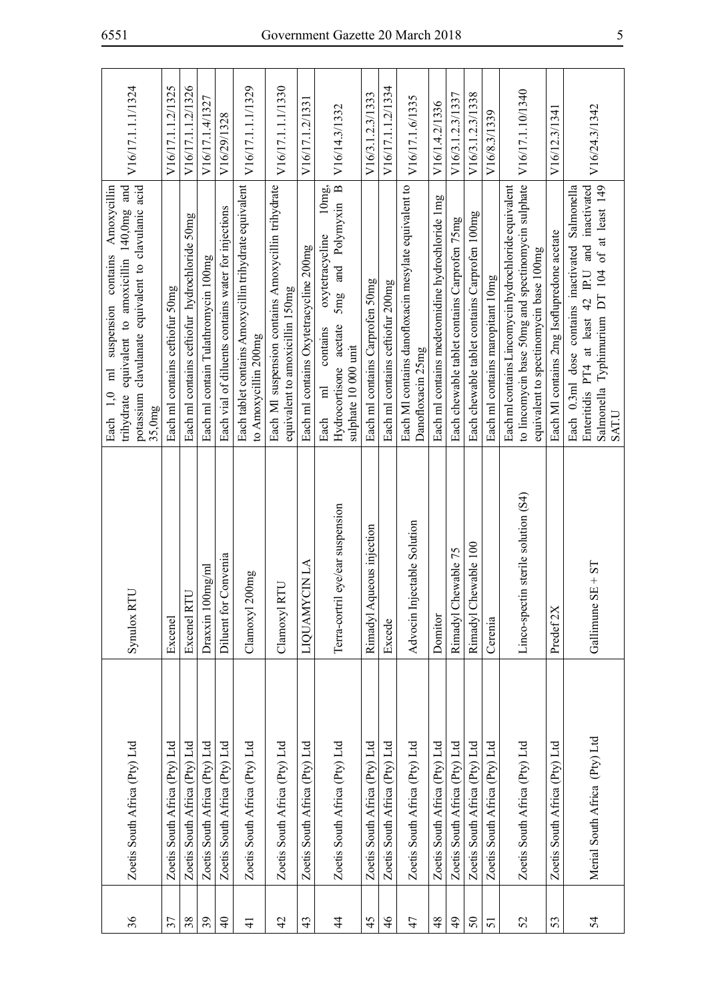| 36            | Zoetis South Africa (Pty) Ltd | Synulox RTU                         | potassium clavulanate equivalent to clavulanic acid<br>trihydrate equivalent to amoxicillin 140,0mg and<br>Amoxycillin<br>suspension contains<br>$\overline{E}$<br>Each 1,0<br>35,0mg | V16/17.1.1.1/1324 |
|---------------|-------------------------------|-------------------------------------|---------------------------------------------------------------------------------------------------------------------------------------------------------------------------------------|-------------------|
| 37            | Zoetis South Africa (Pty) Ltd | Excenel                             | Each ml contains ceftiofur 50mg                                                                                                                                                       | V16/17.1.1.2/1325 |
| 38            | Zoetis South Africa (Pty) Ltd | Excenel RTU                         | Each ml contains ceftiofur hydrochloride 50mg                                                                                                                                         | V16/17.1.1.2/1326 |
| 39            | Zoetis South Africa (Pty) Ltd | Draxxin 100mg/ml                    | Each ml contain Tulathromycin 100mg                                                                                                                                                   | V16/17.1.4/1327   |
| $\frac{1}{4}$ | Zoetis South Africa (Pty) Ltd | Convenia<br>Diluent for             | Each vial of diluents contains water for injections                                                                                                                                   | V16/29/1328       |
| $\frac{4}{5}$ | Zoetis South Africa (Pty) Ltd | Clamoxyl 200mg                      | Each tablet contains Amoxycillin trihydrate equivalent<br>to Amoxycillin 200mg                                                                                                        | V16/17.1.1.1/1329 |
| 42            | Zoetis South Africa (Pty) Ltd | RTU<br>Clamoxyl                     | Each MI suspension contains Amoxycillin trihydrate<br>equivalent to amoxicillin 150mg                                                                                                 | V16/17.1.1.1/1330 |
| 43            | Zoetis South Africa (Pty) Ltd | LIQUAMYCIN LA                       | Each ml contains Oxytetracycline 200mg                                                                                                                                                | V16/17.1.2/1331   |
| 4             | Zoetis South Africa (Pty) Ltd | Terra-cortril eye/ear suspension    | 5mg and Polymyxin B<br>10mg<br>oxytetracycline<br>Hydrocortisone acetate<br>contains<br>sulphate 10 000 unit<br>$\overline{a}$<br>Each                                                | V16/14.3/1332     |
| 45            | Zoetis South Africa (Pty) Ltd | queous injection<br>Rimadyl A       | Each ml contains Carprofen 50mg                                                                                                                                                       | V16/3.1.2.3/1333  |
| $\frac{4}{6}$ | Zoetis South Africa (Pty) Ltd | Excede                              | Each ml contains ceftiofur 200mg                                                                                                                                                      | V16/17.1.1.2/1334 |
| 47            | Zoetis South Africa (Pty) Ltd | Advocin Injectable Solution         | Each MI contains danofloxacin mesylate equivalent to<br>Danofloxacin 25mg                                                                                                             | V16/17.1.6/1335   |
| $\frac{8}{3}$ | Zoetis South Africa (Pty) Ltd | Domitor                             | Each ml contains medetomidine hydrochloride 1mg                                                                                                                                       | V16/1.4.2/1336    |
| $\frac{1}{2}$ | Zoetis South Africa (Pty) Ltd | Rimadyl Chewable 75                 | Each chewable tablet contains Carprofen 75mg                                                                                                                                          | V16/3.1.2.3/1337  |
| $50\,$        | Zoetis South Africa (Pty) Ltd | Rimadyl Chewable 100                | Each chewable tablet contains Carprofen 100mg                                                                                                                                         | V16/3.1.2.3/1338  |
| 51            | Zoetis South Africa (Pty) Ltd | Cerenia                             | Each ml contains maropitant 10mg                                                                                                                                                      | V16/8.3/1339      |
| 52            | Zoetis South Africa (Pty) Ltd | Linco-spectin sterile solution (S4) | to lincomycin base 50mg and spectinomycin sulphate   V16/17.1.10/1340<br>Each ml contains Lincomycin hydrochloride equivalent<br>equivalent to spectinomycin base 100mg               |                   |
| 53            | Zoetis South Africa (Pty) Ltd | Predef 2X                           | Each MI contains 2mg Isoflupredone acetate                                                                                                                                            | V16/12.3/1341     |
| 54            | Merial South Africa (Pty) Ltd | $SE + ST$<br>Gallimune              | Enteritidis PT4 at least 42 IP.U and inactivated<br>Salmonella Typhimurium DT 104 of at least 149<br>Each 0.3ml dose contains inactivated Salmonella<br>SAT.U                         | V16/24.3/1342     |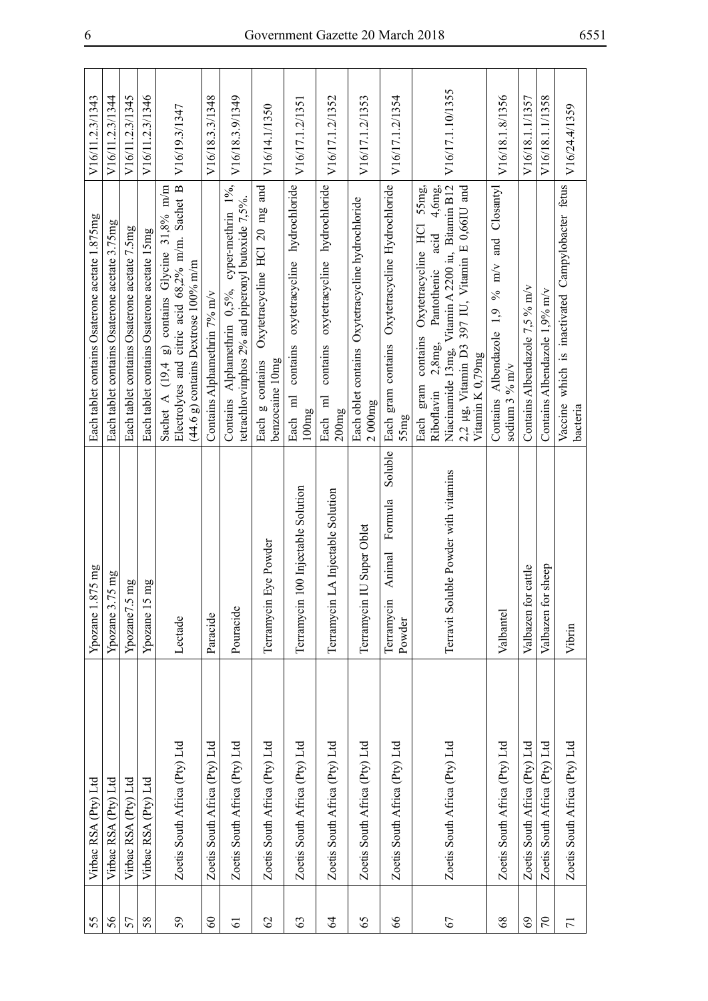| 55             | Virbac RSA (Pty) Ltd          | Ypozane 1.875 mg                                     | Each tablet contains Osaterone acetate 1.875mg                                                                                                                                                                                  | V16/11.2.3/1343  |
|----------------|-------------------------------|------------------------------------------------------|---------------------------------------------------------------------------------------------------------------------------------------------------------------------------------------------------------------------------------|------------------|
| 56             | Virbac RSA (Pty) Ltd          | Ypozane 3.75 mg                                      | Each tablet contains Osaterone acetate 3.75mg                                                                                                                                                                                   | V16/11.2.3/1344  |
| 57             | Virbac RSA (Pty) Ltd          | mg<br>Ypozane7.5                                     | Each tablet contains Osaterone acetate 7.5mg                                                                                                                                                                                    | V16/11.2.3/1345  |
| 58             | Virbac RSA (Pty) Ltd          | mg<br>Ypozane 15                                     | Each tablet contains Osaterone acetate 15mg                                                                                                                                                                                     | V16/11.2.3/1346  |
| 59             | Zoetis South Africa (Pty) Ltd | Lectade                                              | Electrolytes and citric acid 68,2% m/m. Sachet B<br>Sachet A $(19,4 \text{ g})$ contains Glycine 31,8% m/m<br>$(44.6 \text{ g})$ contains Dextrose 100% m/m                                                                     | V16/19.3/1347    |
| $\infty$       | Zoetis South Africa (Pty) Ltd | Paracide                                             | Contains Alphamethrin 7% m/v                                                                                                                                                                                                    | V16/18.3.3/1348  |
| 61             | Zoetis South Africa (Pty) Ltd | Pouracide                                            | Contains Alphamethrin 0,5%, cyper-methrin 1%,<br>tetrachlorvinphos 2% and piperonyl butoxide 7,5%.                                                                                                                              | V16/18.3.9/1349  |
| $\mathcal{O}$  | Zoetis South Africa (Pty) Ltd | Eye Powder<br>Terramycin                             | Each g contains Oxytetracycline HCl 20 mg and<br>benzocaine 10mg                                                                                                                                                                | V16/14.1/1350    |
| 63             | Zoetis South Africa (Pty) Ltd | Terramycin 100 Injectable Solution                   | oxytetracycline hydrochloride<br>contains<br>Each ml<br>100mg                                                                                                                                                                   | V16/17.1.2/1351  |
| $\mathcal{Z}$  | Zoetis South Africa (Pty) Ltd | LA Injectable Solution<br>Terramycin                 | contains oxytetracycline hydrochloride<br>Each ml<br>200mg                                                                                                                                                                      | V16/17.1.2/1352  |
| 65             | Zoetis South Africa (Pty) Ltd | Terramycin IU Super Oblet                            | Each oblet contains Oxytetracycline hydrochloride<br>2000mg                                                                                                                                                                     | V16/17.1.2/1353  |
| $\infty$       | Zoetis South Africa (Pty) Ltd | Soluble<br>Formula<br>Animal<br>Terramycin<br>Powder | Oxytetracycline Hydrochloride<br>Each gram contains<br>Sang                                                                                                                                                                     | V16/17.1.2/1354  |
| 67             | Zoetis South Africa (Pty) Ltd | Terravit Soluble Powder with vitamins                | Niacinamide 13mg, Vitamin A 2200 iu, Bitamin B12<br>contains Oxytetracycline HCl 55mg,<br>Pantothenic acid 4,6mg,<br>2,2 µg, Vitamin D3 397 IU, Vitamin E $0,66$ IU and<br>2,8mg<br>Vitamin K 0,79mg<br>Each gram<br>Riboflavin | V16/17.1.10/1355 |
| 8 <sup>o</sup> | Zoetis South Africa (Pty) Ltd | Valbantel                                            | Closantyl<br>and<br>% m/v<br>Contains Albendazole 1,9<br>sodium $3\%$ m/v                                                                                                                                                       | V16/18.1.8/1356  |
| 69             | Zoetis South Africa (Pty) Ltd | Valbazen for cattle                                  | Contains Albendazole 7,5 % m/v                                                                                                                                                                                                  | V16/18.1.1/1357  |
| $\mathcal{L}$  | Zoetis South Africa (Pty) Ltd | Valbazen for sheep                                   | Contains Albendazole 1,9% m/v                                                                                                                                                                                                   | V16/18.1.1/1358  |
| $\overline{7}$ | Zoetis South Africa (Pty) Ltd | Vibrin                                               | Vaccine which is inactivated Campylobacter fetus<br>bacteria                                                                                                                                                                    | V16/24.4/1359    |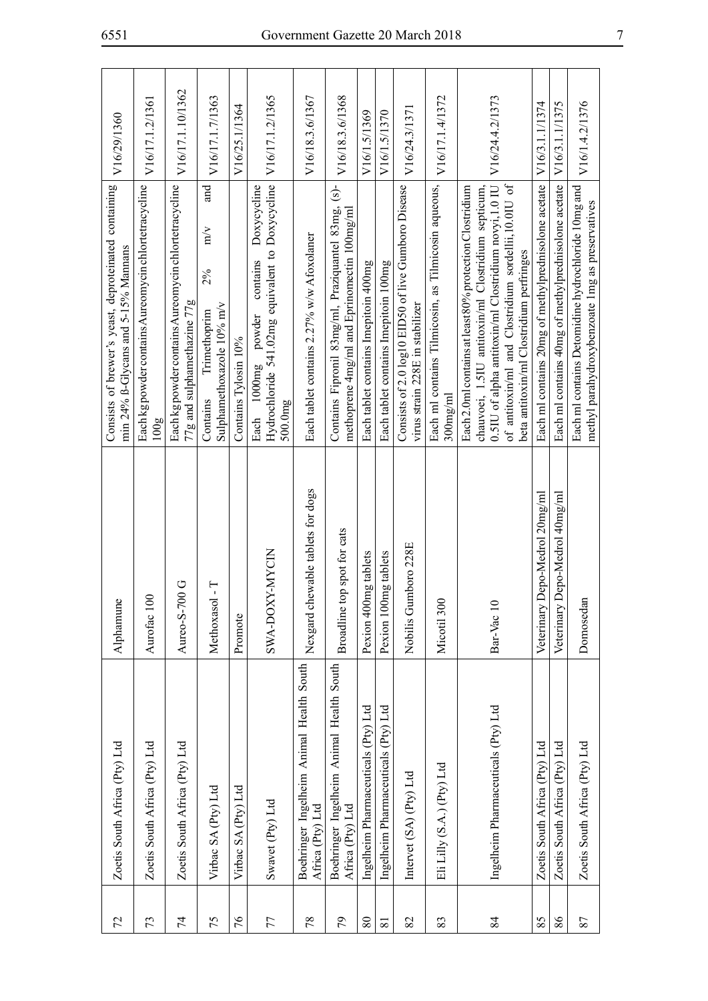| V16/29/1360                                                                                    | V16/17.1.2/1361                                              | V16/17.1.10/1362                                                                    | V16/17.1.7/1363<br>and                                             | V16/25.1/1364        | V16/17.1.2/1365<br>Doxycycline                                                                   | V16/18.3.6/1367                                              | V16/18.3.6/1368<br>$\overline{S}$                                                            | V16/1.5/1369                         | V16/1.5/1370                         | V16/24.3/1371                                                                          | V16/17.1.4/1372                                                    | V16/24.4.2/1373                                                                                                                                                                                                                                                          | V16/3.1.1/1374                                      | V16/3.1.1/1375                                      | V16/1.4.2/1376                                     |
|------------------------------------------------------------------------------------------------|--------------------------------------------------------------|-------------------------------------------------------------------------------------|--------------------------------------------------------------------|----------------------|--------------------------------------------------------------------------------------------------|--------------------------------------------------------------|----------------------------------------------------------------------------------------------|--------------------------------------|--------------------------------------|----------------------------------------------------------------------------------------|--------------------------------------------------------------------|--------------------------------------------------------------------------------------------------------------------------------------------------------------------------------------------------------------------------------------------------------------------------|-----------------------------------------------------|-----------------------------------------------------|----------------------------------------------------|
| Consists of brewer's yeast, deproteinated containing<br>min $24\%$ B-Glycans and 5-15% Mannans | Each kg powder contains Aureomycin chlortetracycline<br>100g | Each kg powder contains Aureomycin chlortetracycline<br>77g and sulphamethazine 77g | m/v<br>2%<br>Sulphamethoxazole 10% m/v<br>Trimethoprim<br>Contains | Contains Tylosin 10% | Hydrochloride 541.02mg equivalent to Doxycycline<br>contains<br>powder<br>Each 1000mg<br>500.0mg | Each tablet contains 2.27% w/w Afoxolaner                    | Contains Fipronil 83mg/ml, Praziquantel 83mg,<br>methoprene 4mg/ml and Eprinomectin 100mg/ml | Each tablet contains Imepitoin 400mg | Each tablet contains Imepitoin 100mg | Consists of 2.0 log10 EID50 of live Gumboro Disease<br>virus strain 228E in stabilizer | Each ml contains Tilmicosin, as Tilmicosin aqueous,<br>$300$ mg/ml | of antitoxin/ml and Clostridium sordellii,10.0IU of<br>Each 2.0ml contains at least 80% protection Clostridium<br>chauvoei, 1.5IU antitoxin/ml Clostridium septicum,<br>0.5IU of alpha antitoxin/ml Clostridium novyi,1.0 IU<br>beta antitoxin/ml Clostridium perfringes | Each ml contains 20mg of methylprednisolone acetate | Each ml contains 40mg of methylprednisolone acetate | Each ml contains Detomidine hydrochloride 10mg and |
| Alphamune                                                                                      | Aurofac 100                                                  | Aureo-S-700 G                                                                       | Ļ<br>Methoxaso                                                     | Promote              | SWA-DOXY-MYCIN                                                                                   | lewable tablets for dogs<br>Nexgard ch                       | Broadline top spot for cats                                                                  | Pexion 400mg tablets                 | Pexion 100mg tablets                 | Nobilis Gumboro 228E                                                                   | Micotil 300                                                        | Bar-Vac 10                                                                                                                                                                                                                                                               | Depo-Medrol 20mg/ml<br>Veterinary                   | Depo-Medrol 40mg/ml<br>Veterinary                   | Domosedar                                          |
| Zoetis South Africa (Pty) Ltd                                                                  | Zoetis South Africa (Pty) Ltd                                | Zoetis South Africa (Pty) Ltd                                                       | Virbac SA (Pty) Ltd                                                | Virbac SA (Pty) Ltd  | Swavet (Pty) Ltd                                                                                 | Boehringer Ingelheim Animal Health South<br>Africa (Pty) Ltd | Boehringer Ingelheim Animal Health South<br>Africa (Pty) Ltd                                 | Ingelheim Pharmaceuticals (Pty) Ltd  | Ingelheim Pharmaceuticals (Pty) Ltd  | Intervet (SA) (Pty) Ltd                                                                | Eli Lilly (S.A.) (Pty) Ltd                                         | Ingelheim Pharmaceuticals (Pty) Ltd                                                                                                                                                                                                                                      | Zoetis South Africa (Pty) Ltd                       | Zoetis South Africa (Pty) Ltd                       | Zoetis South Africa (Pty) Ltd                      |
| 72                                                                                             | 73                                                           | 74                                                                                  | 75                                                                 | 76                   | 77                                                                                               | 78                                                           | 56                                                                                           | 80                                   | $\overline{81}$                      | 82                                                                                     | 83                                                                 | 84                                                                                                                                                                                                                                                                       | 85                                                  | 86                                                  | 87                                                 |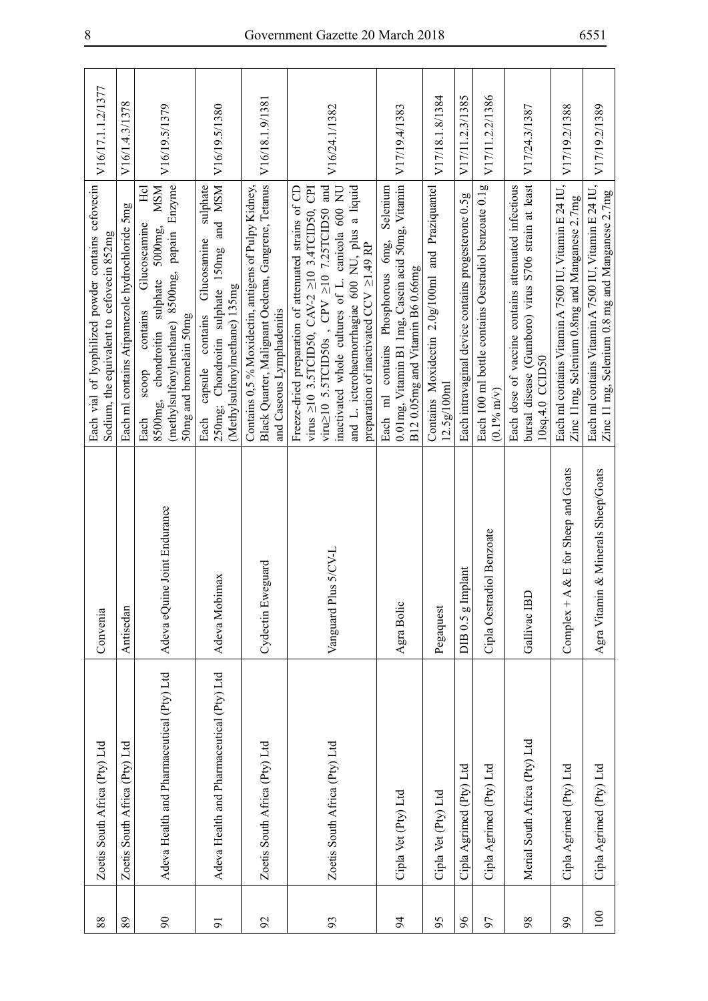| 88             | Zoetis South Africa (Pty) Ltd             | Convenia                              | Each vial of lyophilized powder contains cefovecin<br>Sodium, the equivalent to cefovecin 852mg                                                                                                                                                                                                                                       | V16/17.1.1.2/1377 |
|----------------|-------------------------------------------|---------------------------------------|---------------------------------------------------------------------------------------------------------------------------------------------------------------------------------------------------------------------------------------------------------------------------------------------------------------------------------------|-------------------|
| 89             | Zoetis South Africa (Pty) Ltd             | Antisedan                             | Each ml contains Atipamezole hydrochloride 5mg                                                                                                                                                                                                                                                                                        | V16/1.4.3/1378    |
| $\infty$       | Adeva Health and Pharmaceutical (Pty) Ltd | Adeva eQuine Joint Endurance          | (methylsulfonylmethane) 8500mg, papain Enzyme<br><b>MSM</b><br>Hcl<br>Glucoseamine<br>8500mg, chondroitin sulphate 5000mg,<br>contains<br>50mg and bromelain 50mg<br>doos<br>Each                                                                                                                                                     | V16/19.5/1379     |
| $\overline{5}$ | Adeva Health and Pharmaceutical (Pty) Ltd | Adeva Mobimax                         | 250mg; Chondroitin sulphate 150mg and MSM<br>sulphate<br>Glucosamine<br>(Methylsulfonylmethane) 135mg<br>contains<br>capsule<br>Each                                                                                                                                                                                                  | V16/19.5/1380     |
| $\mathcal{S}$  | Zoetis South Africa (Pty) Ltd             | Cydectin Eweguard                     | Black Quarter, Malignant Oedema, Gangrene, Tetanus<br>Contains 0,5 % Moxidectin, antigens of Pulpy Kidney,<br>and Caseous Lymphadenitis                                                                                                                                                                                               | V16/18.1.9/1381   |
| 93             | Zoetis South Africa (Pty) Ltd             | Vanguard Plus 5/CV-L                  | virus $\geq$ 10 3.5TCID50, CAV-2 $\geq$ 10 3.4TCID50, CPI<br>viru $\geq$ 10 5.5TCID50s, CPV $\geq$ 10 7.25TCID50 and<br>inactivated whole cultures of L. canicola 600 NU<br>and L. icterohaemorrhagiae 600 NU, plus a liquid<br>Freeze-dried preparation of attenuated strains of CD<br>preparation of inactivated CCV $\geq$ 1.49 RP | V16/24.1/1382     |
| 54             | Cipla Vet (Pty) Ltd                       | Agra Bolic                            | 0.01mg, Vitamin B1 1mg, Casein acid 50mg, Vitamin<br>Selenium<br>Each ml contains Phosphorous 6mg,<br>B120.05mg and Vitamin B60.66mg                                                                                                                                                                                                  | V17/19.4/1383     |
| 95             | Cipla Vet (Pty) Ltd                       | Pegaquest                             | Contains Moxidectin 2.0g/100ml and Praziquantel<br>12.5g/100m1                                                                                                                                                                                                                                                                        | V17/18.1.8/1384   |
| $\delta$       | Cipla Agrimed (Pty) Ltd                   | g Implant<br>DIB 0.5                  | Each intravaginal device contains progesterone 0.5g                                                                                                                                                                                                                                                                                   | V17/11.2.3/1385   |
| 57             | Cipla Agrimed (Pty) Ltd                   | Cipla Oestradiol Benzoate             | Each 100 ml bottle contains Oestradiol benzoate 0.1g<br>$(0.1\% \text{ m/v})$                                                                                                                                                                                                                                                         | V17/11.2.2/1386   |
| 98             | Merial South Africa (Pty) Ltd             | Gallivac IBI                          | bursal disease (Gumboro) virus S706 strain at least<br>Each dose of vaccine contains attenuated infectious<br>10sq.4.0 CCID50                                                                                                                                                                                                         | V17/24.3/1387     |
| $\mathfrak{g}$ | Cipla Agrimed (Pty) Ltd                   | Complex $+A \& E$ for Sheep and Goats | Each ml contains Vitamin A 7500 IU, Vitamin E 24 IU,<br>Zinc 11mg, Selenium 0.8mg and Manganese 2.7mg                                                                                                                                                                                                                                 | V17/19.2/1388     |
| 100            | Cipla Agrimed (Pty) Ltd                   | Agra Vitamin & Minerals Sheep/Goats   | Each ml contains Vitamin A 7500 IU, Vitamin E 24 IU,<br>Zinc 11 mg, Selenium 0.8 mg and Manganese 2.7mg                                                                                                                                                                                                                               | V17/19.2/1389     |